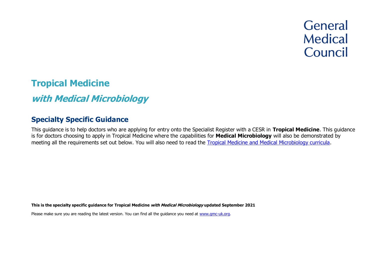# **General Medical** Council

# **Tropical Medicine**

# **with Medical Microbiology**

# **Specialty Specific Guidance**

This guidance is to help doctors who are applying for entry onto the Specialist Register with a CESR in **Tropical Medicine**. This guidance is for doctors choosing to apply in Tropical Medicine where the capabilities for **Medical Microbiology** will also be demonstrated by meeting all the requirements set out below. You will also need to read the [Tropical Medicine and Medical Microbiology curricula.](https://www.gmc-uk.org/education/standards-guidance-and-curricula/curricula%23T)

**This is the specialty specific guidance for Tropical Medicine with Medical Microbiology updated September 2021**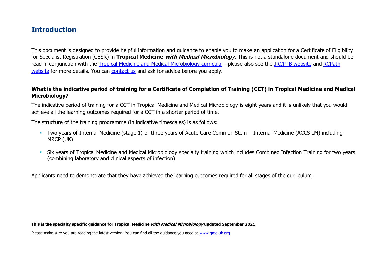# **Introduction**

This document is designed to provide helpful information and guidance to enable you to make an application for a Certificate of Eligibility for Specialist Registration (CESR) in **Tropical Medicine with Medical Microbiology**. This is not a standalone document and should be read in conjunction with the [Tropical Medicine and Medical Microbiology curricula](https://www.gmc-uk.org/education/standards-guidance-and-curricula/curricula%23T) – please also see the [JRCPTB website](https://www.jrcptb.org.uk/specialties/infectious-diseases-and-tropical-medicine) and [RCPath](https://www.rcpath.org/trainees/training/training-by-specialty/medical-microbiology-2021.html)  [website](https://www.rcpath.org/trainees/training/training-by-specialty/medical-microbiology-2021.html) for more details. You can [contact us](http://www.gmc-uk.org/about/contacts.asp) and ask for advice before you apply.

#### **What is the indicative period of training for a Certificate of Completion of Training (CCT) in Tropical Medicine and Medical Microbiology?**

The indicative period of training for a CCT in Tropical Medicine and Medical Microbiology is eight years and it is unlikely that you would achieve all the learning outcomes required for a CCT in a shorter period of time.

The structure of the training programme (in indicative timescales) is as follows:

- Two years of Internal Medicine (stage 1) or three years of Acute Care Common Stem Internal Medicine (ACCS-IM) including MRCP (UK)
- **•** Six years of Tropical Medicine and Medical Microbiology specialty training which includes Combined Infection Training for two years (combining laboratory and clinical aspects of infection)

Applicants need to demonstrate that they have achieved the learning outcomes required for all stages of the curriculum.

#### **This is the specialty specific guidance for Tropical Medicine with Medical Microbiology updated September 2021**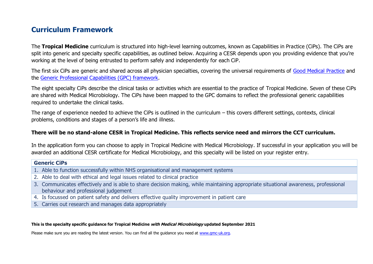# **Curriculum Framework**

The **Tropical Medicine** curriculum is structured into high-level learning outcomes, known as Capabilities in Practice (CiPs). The CiPs are split into generic and specialty specific capabilities, as outlined below. Acquiring a CESR depends upon you providing evidence that you're working at the level of being entrusted to perform safely and independently for each CiP.

The first six CiPs are generic and shared across all physician specialties, covering the universal requirements of [Good Medical Practice](https://www.gmc-uk.org/-/media/documents/good-medical-practice---english-20200128_pdf-51527435.pdf?la=en&hash=DA1263358CCA88F298785FE2BD7610EB4EE9A530) and the [Generic Professional Capabilities \(GPC\) framework.](https://www.gmc-uk.org/-/media/documents/generic-professional-capabilities-framework--0817_pdf-70417127.pdf)

The eight specialty CiPs describe the clinical tasks or activities which are essential to the practice of Tropical Medicine. Seven of these CiPs are shared with Medical Microbiology. The CiPs have been mapped to the GPC domains to reflect the professional generic capabilities required to undertake the clinical tasks.

The range of experience needed to achieve the CiPs is outlined in the curriculum – this covers different settings, contexts, clinical problems, conditions and stages of a person's life and illness.

#### **There will be no stand-alone CESR in Tropical Medicine. This reflects service need and mirrors the CCT curriculum.**

In the application form you can choose to apply in Tropical Medicine with Medical Microbiology. If successful in your application you will be awarded an additional CESR certificate for Medical Microbiology, and this specialty will be listed on your register entry.

#### **Generic CiPs**

- 1. Able to function successfully within NHS organisational and management systems
- 2. Able to deal with ethical and legal issues related to clinical practice
- 3. Communicates effectively and is able to share decision making, while maintaining appropriate situational awareness, professional behaviour and professional judgement
- 4. Is focussed on patient safety and delivers effective quality improvement in patient care
- 5. Carries out research and manages data appropriately

#### **This is the specialty specific guidance for Tropical Medicine with Medical Microbiology updated September 2021**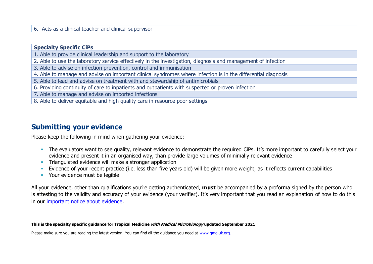#### 6. Acts as a clinical teacher and clinical supervisor

#### **Specialty Specific CiPs**

- 1. Able to provide clinical leadership and support to the laboratory
- 2. Able to use the laboratory service effectively in the investigation, diagnosis and management of infection
- 3. Able to advise on infection prevention, control and immunisation
- 4. Able to manage and advise on important clinical syndromes where infection is in the differential diagnosis
- 5. Able to lead and advise on treatment with and stewardship of antimicrobials
- 6. Providing continuity of care to inpatients and outpatients with suspected or proven infection
- 7. Able to manage and advise on imported infections
- 8. Able to deliver equitable and high quality care in resource poor settings

## **Submitting your evidence**

Please keep the following in mind when gathering your evidence:

- **The evaluators want to see quality, relevant evidence to demonstrate the required CiPs. It's more important to carefully select your** evidence and present it in an organised way, than provide large volumes of minimally relevant evidence
- **•** Triangulated evidence will make a stronger application
- Evidence of your recent practice (i.e. less than five years old) will be given more weight, as it reflects current capabilities
- Your evidence must be legible

All your evidence, other than qualifications you're getting authenticated, **must** be accompanied by a proforma signed by the person who is attesting to the validity and accuracy of your evidence (your verifier). It's very important that you read an explanation of how to do this in our [important notice about evidence.](http://www.gmc-uk.org/doctors/evidence_notice.asp)

#### **This is the specialty specific guidance for Tropical Medicine with Medical Microbiology updated September 2021**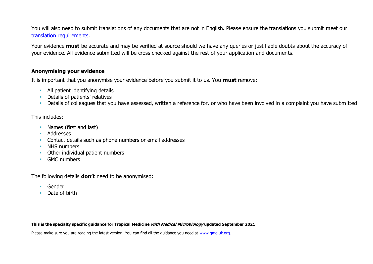You will also need to submit translations of any documents that are not in English. Please ensure the translations you submit meet our [translation requirements.](http://www.gmc-uk.org/doctors/translations.asp)

Your evidence **must** be accurate and may be verified at source should we have any queries or justifiable doubts about the accuracy of your evidence. All evidence submitted will be cross checked against the rest of your application and documents.

#### **Anonymising your evidence**

It is important that you anonymise your evidence before you submit it to us. You **must** remove:

- **E** All patient identifying details
- Details of patients' relatives
- **•** Details of colleagues that you have assessed, written a reference for, or who have been involved in a complaint you have submitted

#### This includes:

- Names (first and last)
- Addresses
- Contact details such as phone numbers or email addresses
- **■** NHS numbers
- Other individual patient numbers
- GMC numbers

The following details **don't** need to be anonymised:

- Gender
- Date of birth

**This is the specialty specific guidance for Tropical Medicine with Medical Microbiology updated September 2021**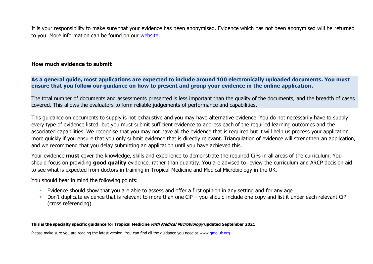It is your responsibility to make sure that your evidence has been anonymised. Evidence which has not been anonymised will be returned to you. More information can be found on our [website.](https://www.gmc-uk.org/registration-and-licensing/join-the-register/registration-applications/cesr-cegpr-application-process/anonymisation)

#### **How much evidence to submit**

**As a general guide, most applications are expected to include around 100 electronically uploaded documents. You must ensure that you follow our guidance on how to present and group your evidence in the online application.**

The total number of documents and assessments presented is less important than the quality of the documents, and the breadth of cases covered. This allows the evaluators to form reliable judgements of performance and capabilities.

This guidance on documents to supply is not exhaustive and you may have alternative evidence. You do not necessarily have to supply every type of evidence listed, but you must submit sufficient evidence to address each of the required learning outcomes and the associated capabilities. We recognise that you may not have all the evidence that is required but it will help us process your application more quickly if you ensure that you only submit evidence that is directly relevant. Triangulation of evidence will strengthen an application, and we recommend that you delay submitting an application until you have achieved this.

Your evidence **must** cover the knowledge, skills and experience to demonstrate the required CiPs in all areas of the curriculum. You should focus on providing **good quality** evidence, rather than quantity. You are advised to review the curriculum and ARCP decision aid to see what is expected from doctors in training in Tropical Medicine and Medical Microbiology in the UK.

You should bear in mind the following points:

- **Evidence should show that you are able to assess and offer a first opinion in any setting and for any age**
- Don't duplicate evidence that is relevant to more than one CiP you should include one copy and list it under each relevant CiP (cross referencing)

#### **This is the specialty specific guidance for Tropical Medicine with Medical Microbiology updated September 2021**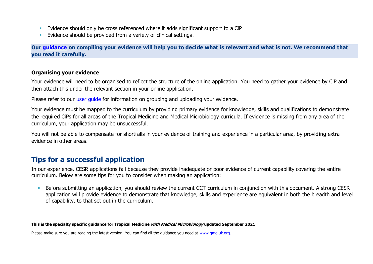- Evidence should only be cross referenced where it adds significant support to a CiP
- **Evidence should be provided from a variety of clinical settings.**

**Our [guidance](https://www.gmc-uk.org/-/media/documents/sat---cesr-cegpr-online-application---user-guide---dc11550_pdf-76194730.pdf) on compiling your evidence will help you to decide what is relevant and what is not. We recommend that you read it carefully.**

#### **Organising your evidence**

Your evidence will need to be organised to reflect the structure of the online application. You need to gather your evidence by CiP and then attach this under the relevant section in your online application.

Please refer to our user quide for information on grouping and uploading your evidence.

Your evidence must be mapped to the curriculum by providing primary evidence for knowledge, skills and qualifications to demonstrate the required CiPs for all areas of the Tropical Medicine and Medical Microbiology curricula. If evidence is missing from any area of the curriculum, your application may be unsuccessful.

You will not be able to compensate for shortfalls in your evidence of training and experience in a particular area, by providing extra evidence in other areas.

# **Tips for a successful application**

In our experience, CESR applications fail because they provide inadequate or poor evidence of current capability covering the entire curriculum. Below are some tips for you to consider when making an application:

**EXECT A** Before submitting an application, you should review the current CCT curriculum in conjunction with this document. A strong CESR application will provide evidence to demonstrate that knowledge, skills and experience are equivalent in both the breadth and level of capability, to that set out in the curriculum.

#### **This is the specialty specific guidance for Tropical Medicine with Medical Microbiology updated September 2021**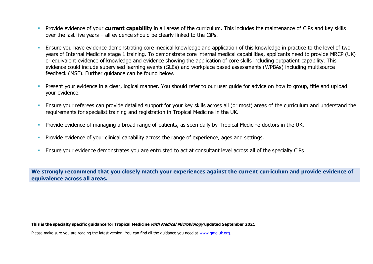- **EXPROVIDE EVIDENCE OF VOUL CUTTENT CAPABILITY** in all areas of the curriculum. This includes the maintenance of CiPs and key skills over the last five years – all evidence should be clearly linked to the CiPs.
- Ensure you have evidence demonstrating core medical knowledge and application of this knowledge in practice to the level of two years of Internal Medicine stage 1 training. To demonstrate core internal medical capabilities, applicants need to provide MRCP (UK) or equivalent evidence of knowledge and evidence showing the application of core skills including outpatient capability. This evidence could include supervised learning events (SLEs) and workplace based assessments (WPBAs) including multisource feedback (MSF). Further guidance can be found below.
- **•** Present your evidence in a clear, logical manner. You should refer to our user guide for advice on how to group, title and upload your evidence.
- Ensure your referees can provide detailed support for your key skills across all (or most) areas of the curriculum and understand the requirements for specialist training and registration in Tropical Medicine in the UK.
- **•** Provide evidence of managing a broad range of patients, as seen daily by Tropical Medicine doctors in the UK.
- **•** Provide evidence of your clinical capability across the range of experience, ages and settings.
- **Ensure your evidence demonstrates you are entrusted to act at consultant level across all of the specialty CiPs.**

**We strongly recommend that you closely match your experiences against the current curriculum and provide evidence of equivalence across all areas.** 

**This is the specialty specific guidance for Tropical Medicine with Medical Microbiology updated September 2021**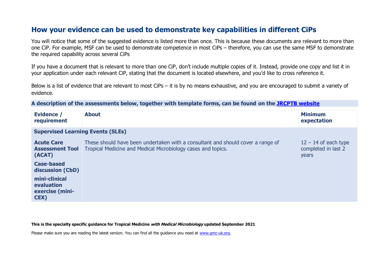# **How your evidence can be used to demonstrate key capabilities in different CiPs**

You will notice that some of the suggested evidence is listed more than once. This is because these documents are relevant to more than one CiP. For example, MSF can be used to demonstrate competence in most CiPs – therefore, you can use the same MSF to demonstrate the required capability across several CiPs

If you have a document that is relevant to more than one CiP, don't include multiple copies of it. Instead, provide one copy and list it in your application under each relevant CiP, stating that the document is located elsewhere, and you'd like to cross reference it.

Below is a list of evidence that are relevant to most CiPs – it is by no means exhaustive, and you are encouraged to submit a variety of evidence.

**A description of the assessments below, together with template forms, can be found on the [JRCPTB website](https://www.jrcptb.org.uk/assessment/workplace-based-assessment)**

| <b>Evidence /</b><br>requirement                                           | <b>About</b>                                                                                                                                    | <b>Minimum</b><br>expectation                          |  |  |
|----------------------------------------------------------------------------|-------------------------------------------------------------------------------------------------------------------------------------------------|--------------------------------------------------------|--|--|
|                                                                            | <b>Supervised Learning Events (SLEs)</b>                                                                                                        |                                                        |  |  |
| <b>Acute Care</b><br><b>Assessment Tool</b><br>(ACAT)<br><b>Case-based</b> | These should have been undertaken with a consultant and should cover a range of<br>Tropical Medicine and Medical Microbiology cases and topics. | $12 - 14$ of each type<br>completed in last 2<br>years |  |  |
| discussion (CbD)<br>mini-clinical<br>evaluation<br>exercise (mini-<br>CEX) |                                                                                                                                                 |                                                        |  |  |

#### **This is the specialty specific guidance for Tropical Medicine with Medical Microbiology updated September 2021**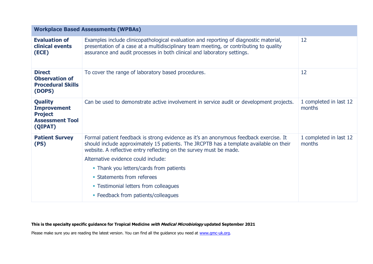| <b>Workplace Based Assessments (WPBAs)</b>                                                  |                                                                                                                                                                                                                                                                                                                                                                                                                                                       |                                  |
|---------------------------------------------------------------------------------------------|-------------------------------------------------------------------------------------------------------------------------------------------------------------------------------------------------------------------------------------------------------------------------------------------------------------------------------------------------------------------------------------------------------------------------------------------------------|----------------------------------|
| <b>Evaluation of</b><br>clinical events<br>(ECE)                                            | Examples include clinicopathological evaluation and reporting of diagnostic material,<br>presentation of a case at a multidisciplinary team meeting, or contributing to quality<br>assurance and audit processes in both clinical and laboratory settings.                                                                                                                                                                                            | 12                               |
| <b>Direct</b><br><b>Observation of</b><br><b>Procedural Skills</b><br>(DOPS)                | To cover the range of laboratory based procedures.                                                                                                                                                                                                                                                                                                                                                                                                    | 12                               |
| <b>Quality</b><br><b>Improvement</b><br><b>Project</b><br><b>Assessment Tool</b><br>(QIPAT) | Can be used to demonstrate active involvement in service audit or development projects.                                                                                                                                                                                                                                                                                                                                                               | 1 completed in last 12<br>months |
| <b>Patient Survey</b><br>(PS)                                                               | Formal patient feedback is strong evidence as it's an anonymous feedback exercise. It<br>should include approximately 15 patients. The JRCPTB has a template available on their<br>website. A reflective entry reflecting on the survey must be made.<br>Alternative evidence could include:<br>• Thank you letters/cards from patients<br>• Statements from referees<br>• Testimonial letters from colleagues<br>• Feedback from patients/colleagues | 1 completed in last 12<br>months |
|                                                                                             |                                                                                                                                                                                                                                                                                                                                                                                                                                                       |                                  |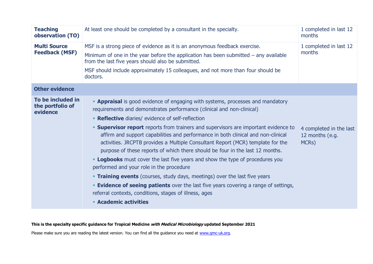| <b>Teaching</b><br>observation (TO)               | At least one should be completed by a consultant in the specialty.                                                                                                                                                                                                                                                                                                                                                                                                                                                                                                                                                                                                                                                                                                                                                                                                                                                                                                                   | 1 completed in last 12<br>months                                 |
|---------------------------------------------------|--------------------------------------------------------------------------------------------------------------------------------------------------------------------------------------------------------------------------------------------------------------------------------------------------------------------------------------------------------------------------------------------------------------------------------------------------------------------------------------------------------------------------------------------------------------------------------------------------------------------------------------------------------------------------------------------------------------------------------------------------------------------------------------------------------------------------------------------------------------------------------------------------------------------------------------------------------------------------------------|------------------------------------------------------------------|
| <b>Multi Source</b><br><b>Feedback (MSF)</b>      | MSF is a strong piece of evidence as it is an anonymous feedback exercise.<br>1 completed in last 12<br>months<br>Minimum of one in the year before the application has been submitted $-$ any available<br>from the last five years should also be submitted.<br>MSF should include approximately 15 colleagues, and not more than four should be<br>doctors.                                                                                                                                                                                                                                                                                                                                                                                                                                                                                                                                                                                                                       |                                                                  |
| <b>Other evidence</b>                             |                                                                                                                                                                                                                                                                                                                                                                                                                                                                                                                                                                                                                                                                                                                                                                                                                                                                                                                                                                                      |                                                                  |
| To be included in<br>the portfolio of<br>evidence | <b>- Appraisal</b> is good evidence of engaging with systems, processes and mandatory<br>requirements and demonstrates performance (clinical and non-clinical)<br>• Reflective diaries/ evidence of self-reflection<br><b>Supervisor report</b> reports from trainers and supervisors are important evidence to<br>affirm and support capabilities and performance in both clinical and non-clinical<br>activities. JRCPTB provides a Multiple Consultant Report (MCR) template for the<br>purpose of these reports of which there should be four in the last 12 months.<br><b>- Logbooks</b> must cover the last five years and show the type of procedures you<br>performed and your role in the procedure<br><b>Training events</b> (courses, study days, meetings) over the last five years<br><b>Evidence of seeing patients</b> over the last five years covering a range of settings,<br>referral contexts, conditions, stages of illness, ages<br><b>Academic activities</b> | 4 completed in the last<br>12 months (e.g.<br>MCR <sub>S</sub> ) |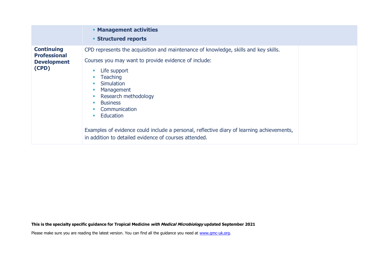|                                                                         | <b>• Management activities</b><br><b>Structured reports</b>                                                                                                                                                                                                                                                                                                                                                                                                                                             |
|-------------------------------------------------------------------------|---------------------------------------------------------------------------------------------------------------------------------------------------------------------------------------------------------------------------------------------------------------------------------------------------------------------------------------------------------------------------------------------------------------------------------------------------------------------------------------------------------|
| <b>Continuing</b><br><b>Professional</b><br><b>Development</b><br>(CPD) | CPD represents the acquisition and maintenance of knowledge, skills and key skills.<br>Courses you may want to provide evidence of include:<br>Life support<br><b>Teaching</b><br>Simulation<br>$\mathcal{L}_{\mathcal{A}}$<br>Management<br>Research methodology<br><b>Business</b><br><b>In</b><br>Communication<br>Education<br>$\blacksquare$<br>Examples of evidence could include a personal, reflective diary of learning achievements,<br>in addition to detailed evidence of courses attended. |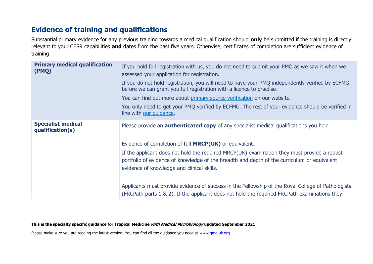# **Evidence of training and qualifications**

Substantial primary evidence for any previous training towards a medical qualification should **only** be submitted if the training is directly relevant to your CESR capabilities **and** dates from the past five years. Otherwise, certificates of completion are sufficient evidence of training.

| <b>Primary medical qualification</b><br>(PMQ) | If you hold full registration with us, you do not need to submit your PMQ as we saw it when we<br>assessed your application for registration.<br>If you do not hold registration, you will need to have your PMQ independently verified by ECFMG<br>before we can grant you full registration with a licence to practise.<br>You can find out more about primary source verification on our website.<br>You only need to get your PMQ verified by ECFMG. The rest of your evidence should be verified in<br>line with our guidance. |
|-----------------------------------------------|-------------------------------------------------------------------------------------------------------------------------------------------------------------------------------------------------------------------------------------------------------------------------------------------------------------------------------------------------------------------------------------------------------------------------------------------------------------------------------------------------------------------------------------|
| <b>Specialist medical</b><br>qualification(s) | Please provide an <b>authenticated copy</b> of any specialist medical qualifications you hold.<br>Evidence of completion of full <b>MRCP(UK)</b> or equivalent.                                                                                                                                                                                                                                                                                                                                                                     |
|                                               | If the applicant does not hold the required MRCP(UK) examination they must provide a robust<br>portfolio of evidence of knowledge of the breadth and depth of the curriculum or equivalent<br>evidence of knowledge and clinical skills.                                                                                                                                                                                                                                                                                            |
|                                               | Applicants must provide evidence of success in the Fellowship of the Royal College of Pathologists<br>(FRCPath parts 1 & 2). If the applicant does not hold the required FRCPath examinations they                                                                                                                                                                                                                                                                                                                                  |

**This is the specialty specific guidance for Tropical Medicine with Medical Microbiology updated September 2021**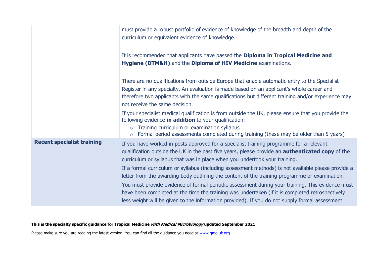|                                   | must provide a robust portfolio of evidence of knowledge of the breadth and depth of the<br>curriculum or equivalent evidence of knowledge.                                                                                                                                                                                        |
|-----------------------------------|------------------------------------------------------------------------------------------------------------------------------------------------------------------------------------------------------------------------------------------------------------------------------------------------------------------------------------|
|                                   | It is recommended that applicants have passed the Diploma in Tropical Medicine and<br>Hygiene (DTM&H) and the Diploma of HIV Medicine examinations.                                                                                                                                                                                |
|                                   | There are no qualifications from outside Europe that enable automatic entry to the Specialist<br>Register in any specialty. An evaluation is made based on an applicant's whole career and<br>therefore two applicants with the same qualifications but different training and/or experience may<br>not receive the same decision. |
|                                   | If your specialist medical qualification is from outside the UK, please ensure that you provide the<br>following evidence in addition to your qualification:<br>Training curriculum or examination syllabus<br>$\Omega$<br>Formal period assessments completed during training (these may be older than 5 years)<br>$\circ$        |
| <b>Recent specialist training</b> | If you have worked in posts approved for a specialist training programme for a relevant<br>qualification outside the UK in the past five years, please provide an <b>authenticated copy</b> of the<br>curriculum or syllabus that was in place when you undertook your training.                                                   |
|                                   | If a formal curriculum or syllabus (including assessment methods) is not available please provide a<br>letter from the awarding body outlining the content of the training programme or examination.                                                                                                                               |
|                                   | You must provide evidence of formal periodic assessment during your training. This evidence must<br>have been completed at the time the training was undertaken (if it is completed retrospectively<br>less weight will be given to the information provided). If you do not supply formal assessment                              |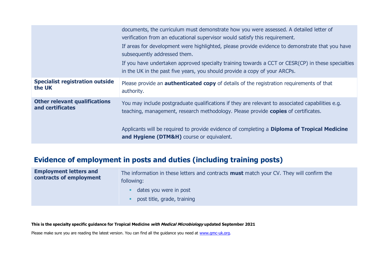|                                        | documents, the curriculum must demonstrate how you were assessed. A detailed letter of<br>verification from an educational supervisor would satisfy this requirement.<br>If areas for development were highlighted, please provide evidence to demonstrate that you have<br>subsequently addressed them.<br>If you have undertaken approved specialty training towards a CCT or CESR(CP) in these specialties<br>in the UK in the past five years, you should provide a copy of your ARCPs. |
|----------------------------------------|---------------------------------------------------------------------------------------------------------------------------------------------------------------------------------------------------------------------------------------------------------------------------------------------------------------------------------------------------------------------------------------------------------------------------------------------------------------------------------------------|
| <b>Specialist registration outside</b> | Please provide an <b>authenticated copy</b> of details of the registration requirements of that                                                                                                                                                                                                                                                                                                                                                                                             |
| the UK                                 | authority.                                                                                                                                                                                                                                                                                                                                                                                                                                                                                  |
| <b>Other relevant qualifications</b>   | You may include postgraduate qualifications if they are relevant to associated capabilities e.g.                                                                                                                                                                                                                                                                                                                                                                                            |
| and certificates                       | teaching, management, research methodology. Please provide copies of certificates.                                                                                                                                                                                                                                                                                                                                                                                                          |
|                                        | Applicants will be required to provide evidence of completing a <b>Diploma of Tropical Medicine</b><br>and Hygiene (DTM&H) course or equivalent.                                                                                                                                                                                                                                                                                                                                            |

# **Evidence of employment in posts and duties (including training posts)**

| <b>Employment letters and</b><br>contracts of employment | The information in these letters and contracts <b>must</b> match your CV. They will confirm the<br>following: |
|----------------------------------------------------------|---------------------------------------------------------------------------------------------------------------|
|                                                          | dates you were in post                                                                                        |
|                                                          | post title, grade, training                                                                                   |

**This is the specialty specific guidance for Tropical Medicine with Medical Microbiology updated September 2021**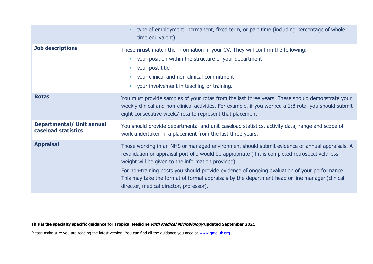|                                                         | type of employment: permanent, fixed term, or part time (including percentage of whole<br>time equivalent)                                                                                                                                                                                                                                                                                                                                                                                             |
|---------------------------------------------------------|--------------------------------------------------------------------------------------------------------------------------------------------------------------------------------------------------------------------------------------------------------------------------------------------------------------------------------------------------------------------------------------------------------------------------------------------------------------------------------------------------------|
| <b>Job descriptions</b>                                 | These <b>must</b> match the information in your CV. They will confirm the following:<br>your position within the structure of your department<br>٠<br>your post title<br>$\mathbb{R}^n$<br>your clinical and non-clinical commitment<br>$\mathcal{L}_{\mathcal{A}}$<br>your involvement in teaching or training.<br>$\mathcal{L}_{\mathcal{A}}$                                                                                                                                                        |
| <b>Rotas</b>                                            | You must provide samples of your rotas from the last three years. These should demonstrate your<br>weekly clinical and non-clinical activities. For example, if you worked a 1:8 rota, you should submit<br>eight consecutive weeks' rota to represent that placement.                                                                                                                                                                                                                                 |
| <b>Departmental/ Unit annual</b><br>caseload statistics | You should provide departmental and unit caseload statistics, activity data, range and scope of<br>work undertaken in a placement from the last three years.                                                                                                                                                                                                                                                                                                                                           |
| <b>Appraisal</b>                                        | Those working in an NHS or managed environment should submit evidence of annual appraisals. A<br>revalidation or appraisal portfolio would be appropriate (if it is completed retrospectively less<br>weight will be given to the information provided).<br>For non-training posts you should provide evidence of ongoing evaluation of your performance.<br>This may take the format of formal appraisals by the department head or line manager (clinical<br>director, medical director, professor). |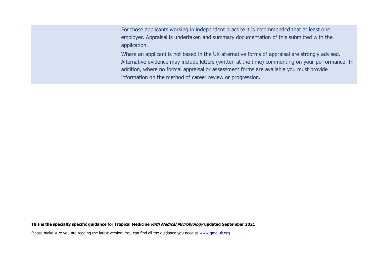For those applicants working in independent practice it is recommended that at least one employer. Appraisal is undertaken and summary documentation of this submitted with the application.

Where an applicant is not based in the UK alternative forms of appraisal are strongly advised. Alternative evidence may include letters (written at the time) commenting on your performance. In addition, where no formal appraisal or assessment forms are available you must provide information on the method of career review or progression.

**This is the specialty specific guidance for Tropical Medicine with Medical Microbiology updated September 2021**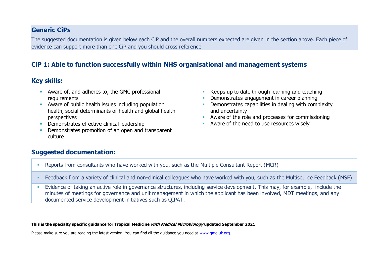#### **Generic CiPs**

The suggested documentation is given below each CiP and the overall numbers expected are given in the section above. Each piece of evidence can support more than one CiP and you should cross reference

### **CiP 1: Able to function successfully within NHS organisational and management systems**

#### **Key skills:**

- Aware of, and adheres to, the GMC professional requirements
- Aware of public health issues including population health, social determinants of health and global health perspectives
- **•** Demonstrates effective clinical leadership
- **Demonstrates promotion of an open and transparent** culture
- Keeps up to date through learning and teaching
- **Demonstrates engagement in career planning**
- **•** Demonstrates capabilities in dealing with complexity and uncertainty
- Aware of the role and processes for commissioning
- Aware of the need to use resources wisely

#### **Suggested documentation:**

- Reports from consultants who have worked with you, such as the Multiple Consultant Report (MCR)
- Feedback from a variety of clinical and non-clinical colleagues who have worked with you, such as the Multisource Feedback (MSF)
- Evidence of taking an active role in governance structures, including service development. This may, for example, include the minutes of meetings for governance and unit management in which the applicant has been involved, MDT meetings, and any documented service development initiatives such as QIPAT.

#### **This is the specialty specific guidance for Tropical Medicine with Medical Microbiology updated September 2021**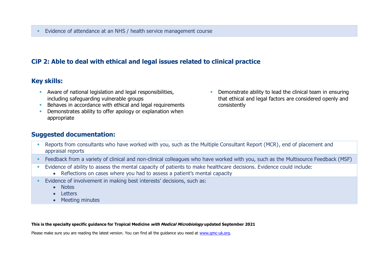### **CiP 2: Able to deal with ethical and legal issues related to clinical practice**

### **Key skills:**

- **EXECT** Aware of national legislation and legal responsibilities, including safeguarding vulnerable groups
- Behaves in accordance with ethical and legal requirements
- **•** Demonstrates ability to offer apology or explanation when appropriate
- **•** Demonstrate ability to lead the clinical team in ensuring that ethical and legal factors are considered openly and consistently

### **Suggested documentation:**

- Reports from consultants who have worked with you, such as the Multiple Consultant Report (MCR), end of placement and appraisal reports
- Feedback from a variety of clinical and non-clinical colleagues who have worked with you, such as the Multisource Feedback (MSF)
- Evidence of ability to assess the mental capacity of patients to make healthcare decisions. Evidence could include:
	- Reflections on cases where you had to assess a patient's mental capacity
- Evidence of involvement in making best interests' decisions, such as:
	- Notes
	- Letters
	- Meeting minutes

#### **This is the specialty specific guidance for Tropical Medicine with Medical Microbiology updated September 2021**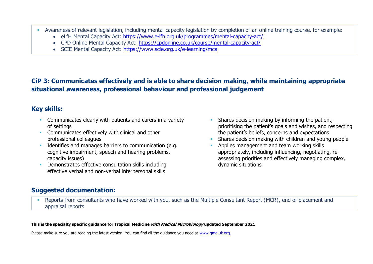- Awareness of relevant legislation, including mental capacity legislation by completion of an online training course, for example:
	- eLfH Mental Capacity Act:<https://www.e-lfh.org.uk/programmes/mental-capacity-act/>
	- CPD Online Mental Capacity Act:<https://cpdonline.co.uk/course/mental-capacity-act/>
	- SCIE Mental Capacity Act:<https://www.scie.org.uk/e-learning/mca>

### **CiP 3: Communicates effectively and is able to share decision making, while maintaining appropriate situational awareness, professional behaviour and professional judgement**

### **Key skills:**

- **EXECOMMUNICATELY COMMUNICATES** clearly with patients and carers in a variety of settings
- **EXECOMMUNICATES Effectively with clinical and other** professional colleagues
- **EXECUTE:** Identifies and manages barriers to communication (e.g. cognitive impairment, speech and hearing problems, capacity issues)
- Demonstrates effective consultation skills including effective verbal and non-verbal interpersonal skills
- **EXECUTE:** Shares decision making by informing the patient, prioritising the patient's goals and wishes, and respecting the patient's beliefs, concerns and expectations
- Shares decision making with children and young people
- Applies management and team working skills appropriately, including influencing, negotiating, reassessing priorities and effectively managing complex, dynamic situations

### **Suggested documentation:**

▪ Reports from consultants who have worked with you, such as the Multiple Consultant Report (MCR), end of placement and appraisal reports

#### **This is the specialty specific guidance for Tropical Medicine with Medical Microbiology updated September 2021**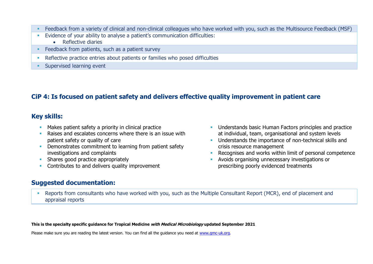- Feedback from a variety of clinical and non-clinical colleagues who have worked with you, such as the Multisource Feedback (MSF)
- Evidence of your ability to analyse a patient's communication difficulties:
	- Reflective diaries
- **EXECO FREE ASSET FREEDBACK** From patients, such as a patient survey
- **Reflective practice entries about patients or families who posed difficulties**
- **EXECUTE:** Supervised learning event

### **CiP 4: Is focused on patient safety and delivers effective quality improvement in patient care**

#### **Key skills:**

- Makes patient safety a priority in clinical practice
- Raises and escalates concerns where there is an issue with patient safety or quality of care
- **Demonstrates commitment to learning from patient safety** investigations and complaints
- **EXECUTE:** Shares good practice appropriately
- Contributes to and delivers quality improvement

### **Suggested documentation:**

- **■** Understands basic Human Factors principles and practice at individual, team, organisational and system levels
- Understands the importance of non-technical skills and crisis resource management
- Recognises and works within limit of personal competence
- **E** Avoids organising unnecessary investigations or prescribing poorly evidenced treatments
- **Reports from consultants who have worked with you, such as the Multiple Consultant Report (MCR), end of placement and** appraisal reports

**This is the specialty specific guidance for Tropical Medicine with Medical Microbiology updated September 2021**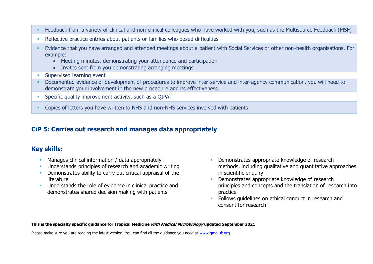- Feedback from a variety of clinical and non-clinical colleagues who have worked with you, such as the Multisource Feedback (MSF)
- **EXECTE ENTERITY PROPTER IN A THE PROPERT FIGGS Reflective practice entries** about patients or families valor posed difficulties
- Evidence that you have arranged and attended meetings about a patient with Social Services or other non-health organisations. For example:
	- Meeting minutes, demonstrating your attendance and participation
	- Invites sent from you demonstrating arranging meetings
- **EXECUTE:** Supervised learning event
- **•** Documented evidence of development of procedures to improve inter-service and inter-agency communication, you will need to demonstrate your involvement in the new procedure and its effectiveness
- **•** Specific quality improvement activity, such as a QIPAT
- **Copies of letters you have written to NHS and non-NHS services involved with patients**

### **CiP 5: Carries out research and manages data appropriately**

### **Key skills:**

- **EXECT** Manages clinical information / data appropriately
- Understands principles of research and academic writing
- **•** Demonstrates ability to carry out critical appraisal of the literature
- **EXECUTE:** Understands the role of evidence in clinical practice and demonstrates shared decision making with patients
- **EXECUTE:** Demonstrates appropriate knowledge of research methods, including qualitative and quantitative approaches in scientific enquiry
- Demonstrates appropriate knowledge of research principles and concepts and the translation of research into practice
- **EXECTE:** Follows quidelines on ethical conduct in research and consent for research

#### **This is the specialty specific guidance for Tropical Medicine with Medical Microbiology updated September 2021**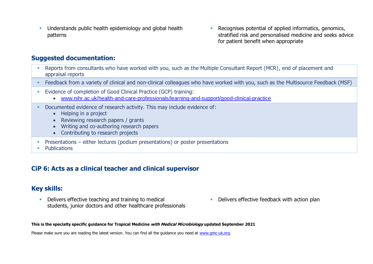- **■** Understands public health epidemiology and global health patterns
- Recognises potential of applied informatics, genomics, stratified risk and personalised medicine and seeks advice for patient benefit when appropriate

#### **Suggested documentation:**

- Reports from consultants who have worked with you, such as the Multiple Consultant Report (MCR), end of placement and appraisal reports
- Feedback from a variety of clinical and non-clinical colleagues who have worked with you, such as the Multisource Feedback (MSF)
- Evidence of completion of Good Clinical Practice (GCP) training:
	- [www.nihr.ac.uk/health-and-care-professionals/learning-and-support/good-clinical-practice](https://www.nihr.ac.uk/health-and-care-professionals/learning-and-support/good-clinical-practice.htm)
- **Documented evidence of research activity. This may include evidence of:** 
	- Helping in a project
	- Reviewing research papers / grants
	- Writing and co-authoring research papers
	- Contributing to research projects
- **•** Presentations either lectures (podium presentations) or poster presentations
- **Publications**

### **CiP 6: Acts as a clinical teacher and clinical supervisor**

#### **Key skills:**

- **•** Delivers effective teaching and training to medical students, junior doctors and other healthcare professionals
- **Delivers effective feedback with action plan**

**This is the specialty specific guidance for Tropical Medicine with Medical Microbiology updated September 2021**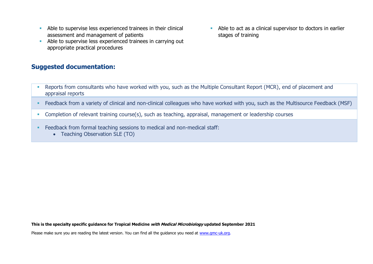- **EXECUTE:** Able to supervise less experienced trainees in their clinical assessment and management of patients
- Able to supervise less experienced trainees in carrying out appropriate practical procedures

#### **Suggested documentation:**

■ Able to act as a clinical supervisor to doctors in earlier stages of training

- Reports from consultants who have worked with you, such as the Multiple Consultant Report (MCR), end of placement and appraisal reports
- Feedback from a variety of clinical and non-clinical colleagues who have worked with you, such as the Multisource Feedback (MSF)
- **Completion of relevant training course(s), such as teaching, appraisal, management or leadership courses**
- **Feedback from formal teaching sessions to medical and non-medical staff:** 
	- Teaching Observation SLE (TO)

**This is the specialty specific guidance for Tropical Medicine with Medical Microbiology updated September 2021**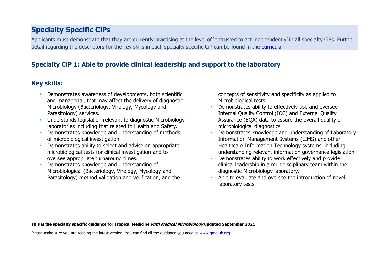# **Specialty Specific CiPs**

Applicants must demonstrate that they are currently practising at the level of 'entrusted to act independently' in all specialty CiPs. Further detail regarding the descriptors for the key skills in each specialty specific CiP can be found in the [curricula.](https://www.gmc-uk.org/education/standards-guidance-and-curricula/curricula#T)

### **Specialty CiP 1: Able to provide clinical leadership and support to the laboratory**

### **Key skills:**

- **Demonstrates awareness of developments, both scientific** and managerial, that may affect the delivery of diagnostic Microbiology (Bacteriology, Virology, Mycology and Parasitology) services.
- **■** Understands legislation relevant to diagnostic Microbiology laboratories including that related to Health and Safety.
- **•** Demonstrates knowledge and understanding of methods of microbiological investigation.
- **Demonstrates ability to select and advise on appropriate** microbiological tests for clinical investigation and to oversee appropriate turnaround times.
- Demonstrates knowledge and understanding of Microbiological (Bacteriology, Virology, Mycology and Parasitology) method validation and verification, and the

concepts of sensitivity and specificity as applied to Microbiological tests.

- **•** Demonstrates ability to effectively use and oversee Internal Quality Control (IQC) and External Quality Assurance (EQA) data to assure the overall quality of microbiological diagnostics.
- Demonstrates knowledge and understanding of Laboratory Information Management Systems (LIMS) and other Healthcare Information Technology systems, including understanding relevant information governance legislation.
- Demonstrates ability to work effectively and provide clinical leadership in a multidisciplinary team within the diagnostic Microbiology laboratory.
- **E.** Able to evaluate and oversee the introduction of novel laboratory tests

**This is the specialty specific guidance for Tropical Medicine with Medical Microbiology updated September 2021**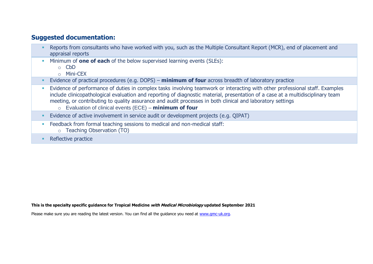#### **Suggested documentation:**

- **EXECTS FREPORTS from consultants who have worked with you, such as the Multiple Consultant Report (MCR), end of placement and** appraisal reports
- Minimum of **one of each** of the below supervised learning events (SLEs):
	- o CbD
	- o Mini-CEX
- Evidence of practical procedures (e.g. DOPS) **minimum of four** across breadth of laboratory practice
- **Evidence of performance of duties in complex tasks involving teamwork or interacting with other professional staff. Examples "** include clinicopathological evaluation and reporting of diagnostic material, presentation of a case at a multidisciplinary team meeting, or contributing to quality assurance and audit processes in both clinical and laboratory settings
	- o Evaluation of clinical events (ECE) **minimum of four**
- **Evidence of active involvement in service audit or development projects (e.g. QIPAT)**
- **Example 2** Feedback from formal teaching sessions to medical and non-medical staff:
	- o Teaching Observation (TO)
- Reflective practice

**This is the specialty specific guidance for Tropical Medicine with Medical Microbiology updated September 2021**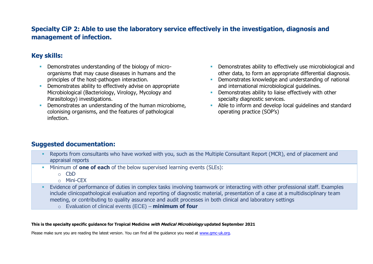### **Specialty CiP 2: Able to use the laboratory service effectively in the investigation, diagnosis and management of infection.**

### **Key skills:**

- **Demonstrates understanding of the biology of micro**organisms that may cause diseases in humans and the principles of the host-pathogen interaction.
- Demonstrates ability to effectively advise on appropriate Microbiological (Bacteriology, Virology, Mycology and Parasitology) investigations.
- Demonstrates an understanding of the human microbiome, colonising organisms, and the features of pathological infection.
- **•** Demonstrates ability to effectively use microbiological and other data, to form an appropriate differential diagnosis.
- **•** Demonstrates knowledge and understanding of national and international microbiological guidelines.
- **•** Demonstrates ability to liaise effectively with other specialty diagnostic services.
- Able to inform and develop local quidelines and standard operating practice (SOP's)

### **Suggested documentation:**

- **EXECTS from consultants who have worked with you, such as the Multiple Consultant Report (MCR), end of placement and** appraisal reports
- Minimum of **one of each** of the below supervised learning events (SLEs):
	- $\circ$  CbD
	- o Mini-CEX
- **E** Evidence of performance of duties in complex tasks involving teamwork or interacting with other professional staff. Examples include clinicopathological evaluation and reporting of diagnostic material, presentation of a case at a multidisciplinary team meeting, or contributing to quality assurance and audit processes in both clinical and laboratory settings
	- o Evaluation of clinical events (ECE) **minimum of four**

#### **This is the specialty specific guidance for Tropical Medicine with Medical Microbiology updated September 2021**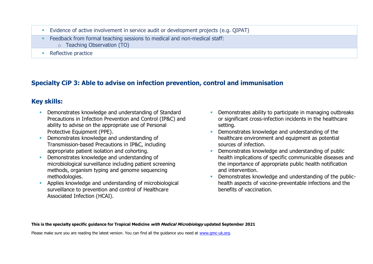- Evidence of active involvement in service audit or development projects (e.g. QIPAT)
- Feedback from formal teaching sessions to medical and non-medical staff:
	- o Teaching Observation (TO)
- Reflective practice

# **Specialty CiP 3: Able to advise on infection prevention, control and immunisation**

# **Key skills:**

- **Demonstrates knowledge and understanding of Standard** Precautions in Infection Prevention and Control (IP&C) and ability to advise on the appropriate use of Personal Protective Equipment (PPE).
- Demonstrates knowledge and understanding of Transmission-based Precautions in IP&C, including appropriate patient isolation and cohorting.
- Demonstrates knowledge and understanding of microbiological surveillance including patient screening methods, organism typing and genome sequencing methodologies.
- **EXECUTE:** Applies knowledge and understanding of microbiological surveillance to prevention and control of Healthcare Associated Infection (HCAI).
- Demonstrates ability to participate in managing outbreaks or significant cross-infection incidents in the healthcare setting.
- **Demonstrates knowledge and understanding of the** healthcare environment and equipment as potential sources of infection.
- Demonstrates knowledge and understanding of public health implications of specific communicable diseases and the importance of appropriate public health notification and intervention.
- Demonstrates knowledge and understanding of the publichealth aspects of vaccine-preventable infections and the benefits of vaccination.

**This is the specialty specific guidance for Tropical Medicine with Medical Microbiology updated September 2021**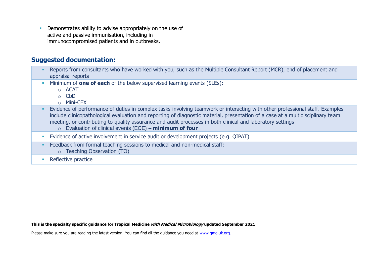**• Demonstrates ability to advise appropriately on the use of** active and passive immunisation, including in immunocompromised patients and in outbreaks.

#### **Suggested documentation:**

- **EXECTS FREPORTS from consultants who have worked with you, such as the Multiple Consultant Report (MCR), end of placement and** appraisal reports
- Minimum of **one of each** of the below supervised learning events (SLEs):
	- $\circ$  ACAT
	- o CbD
	- o Mini-CEX
- Evidence of performance of duties in complex tasks involving teamwork or interacting with other professional staff. Examples include clinicopathological evaluation and reporting of diagnostic material, presentation of a case at a multidisciplinary team meeting, or contributing to quality assurance and audit processes in both clinical and laboratory settings
	- o Evaluation of clinical events (ECE) **minimum of four**
- **E** Evidence of active involvement in service audit or development projects (e.g. OIPAT)
- **Example 2** Feedback from formal teaching sessions to medical and non-medical staff:
	- o Teaching Observation (TO)
- Reflective practice

**This is the specialty specific guidance for Tropical Medicine with Medical Microbiology updated September 2021**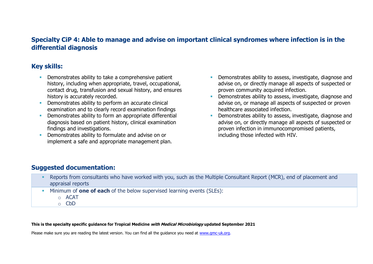### **Specialty CiP 4: Able to manage and advise on important clinical syndromes where infection is in the differential diagnosis**

#### **Key skills:**

- **EXECUTE:** Demonstrates ability to take a comprehensive patient history, including when appropriate, travel, occupational, contact drug, transfusion and sexual history, and ensures history is accurately recorded.
- **•** Demonstrates ability to perform an accurate clinical examination and to clearly record examination findings
- **•** Demonstrates ability to form an appropriate differential diagnosis based on patient history, clinical examination findings and investigations.
- Demonstrates ability to formulate and advise on or implement a safe and appropriate management plan.
- **•** Demonstrates ability to assess, investigate, diagnose and advise on, or directly manage all aspects of suspected or proven community acquired infection.
- **•** Demonstrates ability to assess, investigate, diagnose and advise on, or manage all aspects of suspected or proven healthcare associated infection.
- Demonstrates ability to assess, investigate, diagnose and advise on, or directly manage all aspects of suspected or proven infection in immunocompromised patients, including those infected with HIV.

### **Suggested documentation:**

- Reports from consultants who have worked with you, such as the Multiple Consultant Report (MCR), end of placement and appraisal reports
- Minimum of **one of each** of the below supervised learning events (SLEs):
	- o ACAT
	- o CbD

#### **This is the specialty specific guidance for Tropical Medicine with Medical Microbiology updated September 2021**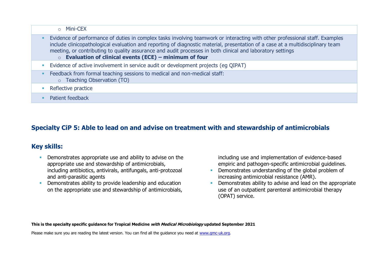o Mini-CEX

- **Evidence of performance of duties in complex tasks involving teamwork or interacting with other professional staff. Examples** include clinicopathological evaluation and reporting of diagnostic material, presentation of a case at a multidisciplinary team meeting, or contributing to quality assurance and audit processes in both clinical and laboratory settings
	- o **Evaluation of clinical events (ECE) – minimum of four**
- **E**vidence of active involvement in service audit or development projects (eq QIPAT)
- Feedback from formal teaching sessions to medical and non-medical staff:
	- o Teaching Observation (TO)
- Reflective practice
- **•** Patient feedback

# **Specialty CiP 5: Able to lead on and advise on treatment with and stewardship of antimicrobials**

### **Key skills:**

- **Demonstrates appropriate use and ability to advise on the** appropriate use and stewardship of antimicrobials, including antibiotics, antivirals, antifungals, anti-protozoal and anti-parasitic agents
- **•** Demonstrates ability to provide leadership and education on the appropriate use and stewardship of antimicrobials,

including use and implementation of evidence-based empiric and pathogen-specific antimicrobial guidelines.

- **•** Demonstrates understanding of the global problem of increasing antimicrobial resistance (AMR).
- Demonstrates ability to advise and lead on the appropriate use of an outpatient parenteral antimicrobial therapy (OPAT) service.

**This is the specialty specific guidance for Tropical Medicine with Medical Microbiology updated September 2021**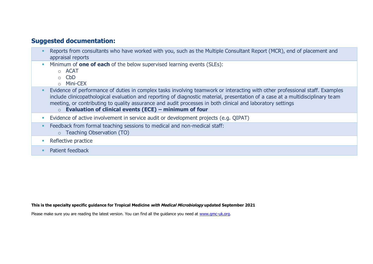#### **Suggested documentation:**

- Reports from consultants who have worked with you, such as the Multiple Consultant Report (MCR), end of placement and appraisal reports
- Minimum of **one of each** of the below supervised learning events (SLEs):
	- o ACAT
	- o CbD
	- o Mini-CEX
- **Evidence of performance of duties in complex tasks involving teamwork or interacting with other professional staff. Examples** include clinicopathological evaluation and reporting of diagnostic material, presentation of a case at a multidisciplinary team meeting, or contributing to quality assurance and audit processes in both clinical and laboratory settings
	- o **Evaluation of clinical events (ECE) – minimum of four**
- **Evidence of active involvement in service audit or development projects (e.g. QIPAT)**
- **Example 2** Feedback from formal teaching sessions to medical and non-medical staff:
	- o Teaching Observation (TO)
- Reflective practice
- **•** Patient feedback

**This is the specialty specific guidance for Tropical Medicine with Medical Microbiology updated September 2021**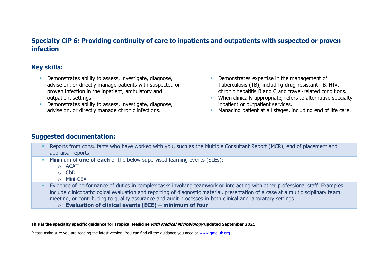### **Specialty CiP 6: Providing continuity of care to inpatients and outpatients with suspected or proven infection**

### **Key skills:**

- **•** Demonstrates ability to assess, investigate, diagnose, advise on, or directly manage patients with suspected or proven infection in the inpatient, ambulatory and outpatient settings.
- **EXECTE Demonstrates ability to assess, investigate, diagnose,** advise on, or directly manage chronic infections.
- **Demonstrates expertise in the management of** Tuberculosis (TB), including drug-resistant TB, HIV, chronic hepatitis B and C and travel-related conditions.
- **EXECT** When clinically appropriate, refers to alternative specialty inpatient or outpatient services.
- **EXECT** Managing patient at all stages, including end of life care.

### **Suggested documentation:**

- **EXECTS FREPORTS from consultants who have worked with you, such as the Multiple Consultant Report (MCR), end of placement and** appraisal reports
- Minimum of **one of each** of the below supervised learning events (SLEs):
	- o ACAT
	- o CbD
	- o Mini-CEX
- Evidence of performance of duties in complex tasks involving teamwork or interacting with other professional staff. Examples include clinicopathological evaluation and reporting of diagnostic material, presentation of a case at a multidisciplinary team meeting, or contributing to quality assurance and audit processes in both clinical and laboratory settings
	- o **Evaluation of clinical events (ECE) – minimum of four**

#### **This is the specialty specific guidance for Tropical Medicine with Medical Microbiology updated September 2021**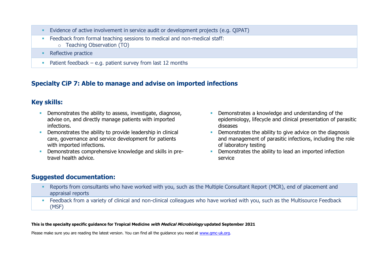- Evidence of active involvement in service audit or development projects (e.g. QIPAT)
- **Example 2** Feedback from formal teaching sessions to medical and non-medical staff:
	- o Teaching Observation (TO)
- Reflective practice
- **•** Patient feedback e.g. patient survey from last 12 months

# **Specialty CiP 7: Able to manage and advise on imported infections**

### **Key skills:**

- **EXECTE Demonstrates the ability to assess, investigate, diagnose,** advise on, and directly manage patients with imported infections.
- **•** Demonstrates the ability to provide leadership in clinical care, governance and service development for patients with imported infections.
- **•** Demonstrates comprehensive knowledge and skills in pretravel health advice.
- **•** Demonstrates a knowledge and understanding of the epidemiology, lifecycle and clinical presentation of parasitic diseases
- **•** Demonstrates the ability to give advice on the diagnosis and management of parasitic infections, including the role of laboratory testing
- **•** Demonstrates the ability to lead an imported infection service

### **Suggested documentation:**

- Reports from consultants who have worked with you, such as the Multiple Consultant Report (MCR), end of placement and appraisal reports
- **EXECT ADDEX FROM A variety of clinical and non-clinical colleagues who have worked with you, such as the Multisource Feedback** (MSF)

#### **This is the specialty specific guidance for Tropical Medicine with Medical Microbiology updated September 2021**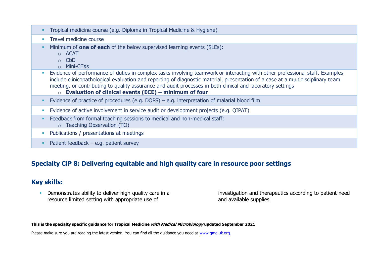- **·** Travel medicine course
- Minimum of **one of each** of the below supervised learning events (SLEs):
	- o ACAT
	- o CbD
	- o Mini-CEXs
- Evidence of performance of duties in complex tasks involving teamwork or interacting with other professional staff. Examples include clinicopathological evaluation and reporting of diagnostic material, presentation of a case at a multidisciplinary team meeting, or contributing to quality assurance and audit processes in both clinical and laboratory settings
	- o **Evaluation of clinical events (ECE) – minimum of four**
- **E**vidence of practice of procedures (e.g. DOPS) e.g. interpretation of malarial blood film
- **E** Evidence of active involvement in service audit or development projects (e.g. QIPAT)
- Feedback from formal teaching sessions to medical and non-medical staff:
	- o Teaching Observation (TO)
- **Publications / presentations at meetings**
- $\blacksquare$  Patient feedback e.g. patient survey

#### **Specialty CiP 8: Delivering equitable and high quality care in resource poor settings**

#### **Key skills:**

**• Demonstrates ability to deliver high quality care in a** resource limited setting with appropriate use of

investigation and therapeutics according to patient need and available supplies

**This is the specialty specific guidance for Tropical Medicine with Medical Microbiology updated September 2021**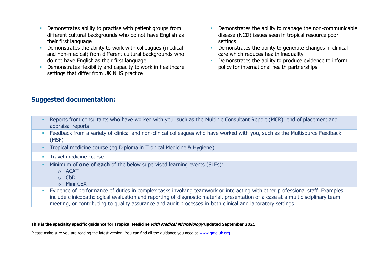- **EXECT** Demonstrates ability to practise with patient groups from different cultural backgrounds who do not have English as their first language
- Demonstrates the ability to work with colleagues (medical and non-medical) from different cultural backgrounds who do not have English as their first language
- **•** Demonstrates flexibility and capacity to work in healthcare settings that differ from UK NHS practice
- **•** Demonstrates the ability to manage the non-communicable disease (NCD) issues seen in tropical resource poor settings
- **•** Demonstrates the ability to generate changes in clinical care which reduces health inequality
- **EXECUTE:** Demonstrates the ability to produce evidence to inform policy for international health partnerships

### **Suggested documentation:**

| Reports from consultants who have worked with you, such as the Multiple Consultant Report (MCR), end of placement and<br>appraisal reports |
|--------------------------------------------------------------------------------------------------------------------------------------------|
| Feedback from a variety of clinical and non-clinical colleagues who have worked with you, such as the Multisource Feedback<br>(MSF)        |
| Tropical medicine course (eg Diploma in Tropical Medicine & Hygiene)                                                                       |
| Travel medicine course                                                                                                                     |
| Minimum of <b>one of each</b> of the below supervised learning events (SLEs):<br>$\circ$ ACAT<br>$\circ$ CbD<br>o Mini-CEX                 |
| Evidence of performance of duties in complex tasks involving teamwork or interacting with other professional staff. Examples               |

include clinicopathological evaluation and reporting of diagnostic material, presentation of a case at a multidisciplinary team meeting, or contributing to quality assurance and audit processes in both clinical and laboratory settings

#### **This is the specialty specific guidance for Tropical Medicine with Medical Microbiology updated September 2021**